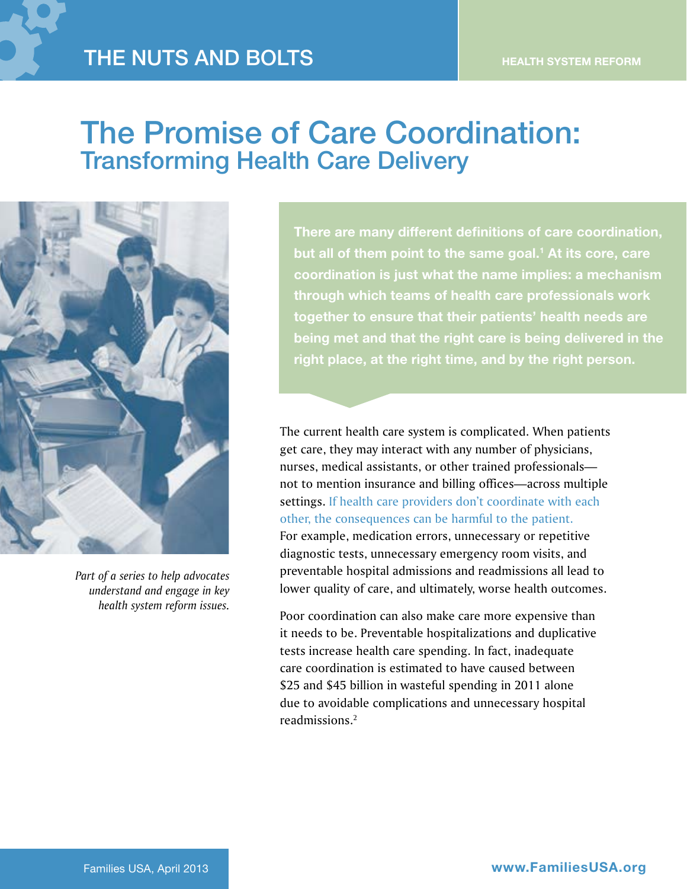## THE NUTS AND BOLTS THE NUTS AND BOLTS THE NUTS AND BOLTS

## The Promise of Care Coordination: Transforming Health Care Delivery

*Part of a series to help advocates understand and engage in key health system reform issues.*

There are many different definitions of care coordination, but all of them point to the same goal.<sup>1</sup> At its core, care coordination is just what the name implies: a mechanism through which teams of health care professionals work together to ensure that their patients' health needs are being met and that the right care is being delivered in the right place, at the right time, and by the right person.

The current health care system is complicated. When patients get care, they may interact with any number of physicians, nurses, medical assistants, or other trained professionals not to mention insurance and billing offices—across multiple settings. If health care providers don't coordinate with each other, the consequences can be harmful to the patient. For example, medication errors, unnecessary or repetitive diagnostic tests, unnecessary emergency room visits, and preventable hospital admissions and readmissions all lead to lower quality of care, and ultimately, worse health outcomes.

Poor coordination can also make care more expensive than it needs to be. Preventable hospitalizations and duplicative tests increase health care spending. In fact, inadequate care coordination is estimated to have caused between \$25 and \$45 billion in wasteful spending in 2011 alone due to avoidable complications and unnecessary hospital readmissions.2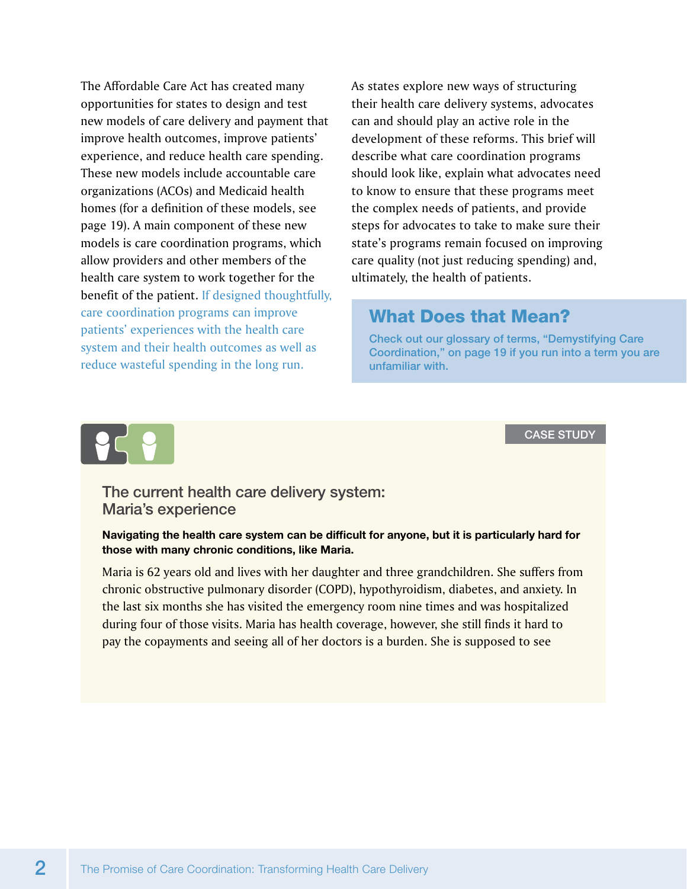The Affordable Care Act has created many opportunities for states to design and test new models of care delivery and payment that improve health outcomes, improve patients' experience, and reduce health care spending. These new models include accountable care organizations (ACOs) and Medicaid health homes (for a definition of these models, see page 19). A main component of these new models is care coordination programs, which allow providers and other members of the health care system to work together for the benefit of the patient. If designed thoughtfully, care coordination programs can improve patients' experiences with the health care system and their health outcomes as well as reduce wasteful spending in the long run.

As states explore new ways of structuring their health care delivery systems, advocates can and should play an active role in the development of these reforms. This brief will describe what care coordination programs should look like, explain what advocates need to know to ensure that these programs meet the complex needs of patients, and provide steps for advocates to take to make sure their state's programs remain focused on improving care quality (not just reducing spending) and, ultimately, the health of patients.

## What Does that Mean?

Check out our glossary of terms, "Demystifying Care Coordination," on page 19 if you run into a term you are unfamiliar with.

#### CASE STUDY

## The current health care delivery system: Maria's experience

#### Navigating the health care system can be difficult for anyone, but it is particularly hard for those with many chronic conditions, like Maria.

Maria is 62 years old and lives with her daughter and three grandchildren. She suffers from chronic obstructive pulmonary disorder (COPD), hypothyroidism, diabetes, and anxiety. In the last six months she has visited the emergency room nine times and was hospitalized during four of those visits. Maria has health coverage, however, she still finds it hard to pay the copayments and seeing all of her doctors is a burden. She is supposed to see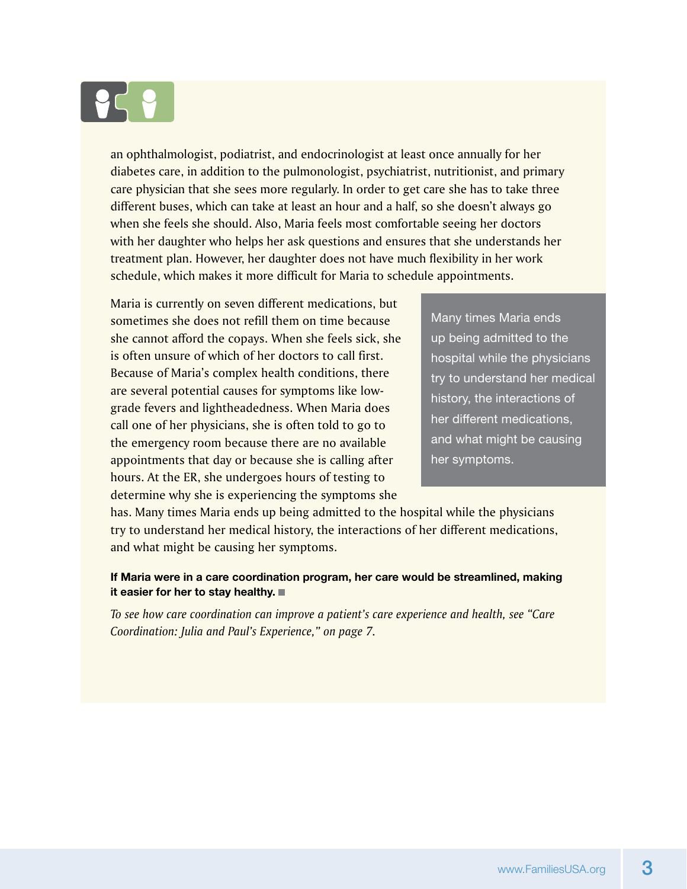# I SC S

an ophthalmologist, podiatrist, and endocrinologist at least once annually for her diabetes care, in addition to the pulmonologist, psychiatrist, nutritionist, and primary care physician that she sees more regularly. In order to get care she has to take three different buses, which can take at least an hour and a half, so she doesn't always go when she feels she should. Also, Maria feels most comfortable seeing her doctors with her daughter who helps her ask questions and ensures that she understands her treatment plan. However, her daughter does not have much flexibility in her work schedule, which makes it more difficult for Maria to schedule appointments.

Maria is currently on seven different medications, but sometimes she does not refill them on time because she cannot afford the copays. When she feels sick, she is often unsure of which of her doctors to call first. Because of Maria's complex health conditions, there are several potential causes for symptoms like lowgrade fevers and lightheadedness. When Maria does call one of her physicians, she is often told to go to the emergency room because there are no available appointments that day or because she is calling after hours. At the ER, she undergoes hours of testing to determine why she is experiencing the symptoms she

Many times Maria ends up being admitted to the hospital while the physicians try to understand her medical history, the interactions of her different medications, and what might be causing her symptoms.

has. Many times Maria ends up being admitted to the hospital while the physicians try to understand her medical history, the interactions of her different medications, and what might be causing her symptoms.

## If Maria were in a care coordination program, her care would be streamlined, making it easier for her to stay healthy.

*To see how care coordination can improve a patient's care experience and health, see "Care Coordination: Julia and Paul's Experience," on page 7.*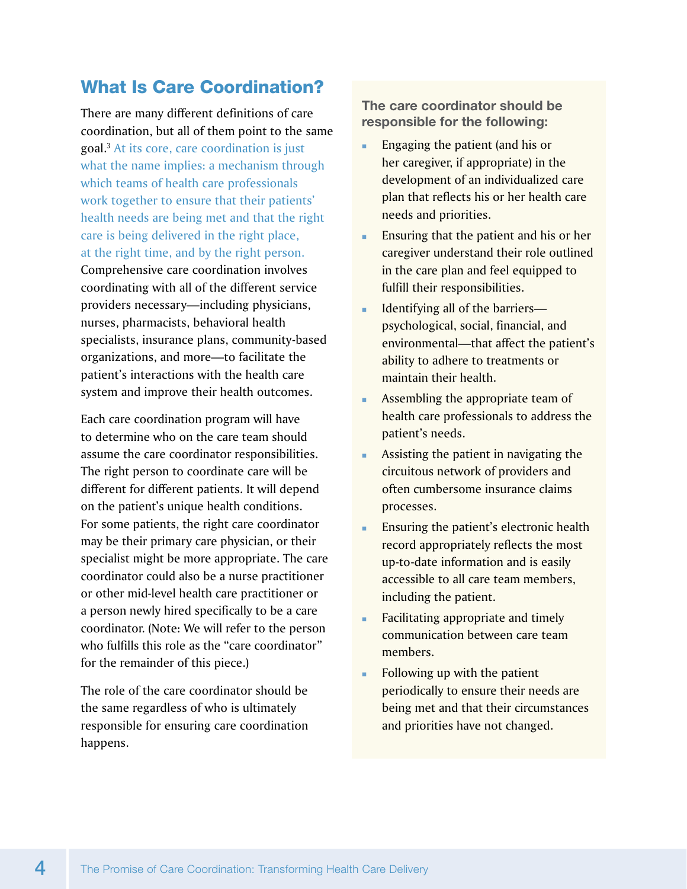## What Is Care Coordination?

There are many different definitions of care coordination, but all of them point to the same goal.3 At its core, care coordination is just what the name implies: a mechanism through which teams of health care professionals work together to ensure that their patients' health needs are being met and that the right care is being delivered in the right place, at the right time, and by the right person. Comprehensive care coordination involves coordinating with all of the different service providers necessary—including physicians, nurses, pharmacists, behavioral health specialists, insurance plans, community-based organizations, and more—to facilitate the patient's interactions with the health care system and improve their health outcomes.

Each care coordination program will have to determine who on the care team should assume the care coordinator responsibilities. The right person to coordinate care will be different for different patients. It will depend on the patient's unique health conditions. For some patients, the right care coordinator may be their primary care physician, or their specialist might be more appropriate. The care coordinator could also be a nurse practitioner or other mid-level health care practitioner or a person newly hired specifically to be a care coordinator. (Note: We will refer to the person who fulfills this role as the "care coordinator" for the remainder of this piece.)

The role of the care coordinator should be the same regardless of who is ultimately responsible for ensuring care coordination happens.

## The care coordinator should be responsible for the following:

- **Engaging the patient (and his or** her caregiver, if appropriate) in the development of an individualized care plan that reflects his or her health care needs and priorities.
- **Ensuring that the patient and his or her** caregiver understand their role outlined in the care plan and feel equipped to fulfill their responsibilities.
- Identifying all of the barriers psychological, social, financial, and environmental—that affect the patient's ability to adhere to treatments or maintain their health.
- Assembling the appropriate team of health care professionals to address the patient's needs.
- **Assisting the patient in navigating the** circuitous network of providers and often cumbersome insurance claims processes.
- **Ensuring the patient's electronic health** record appropriately reflects the most up-to-date information and is easily accessible to all care team members, including the patient.
- **Facilitating appropriate and timely** communication between care team members.
- $\blacksquare$  Following up with the patient periodically to ensure their needs are being met and that their circumstances and priorities have not changed.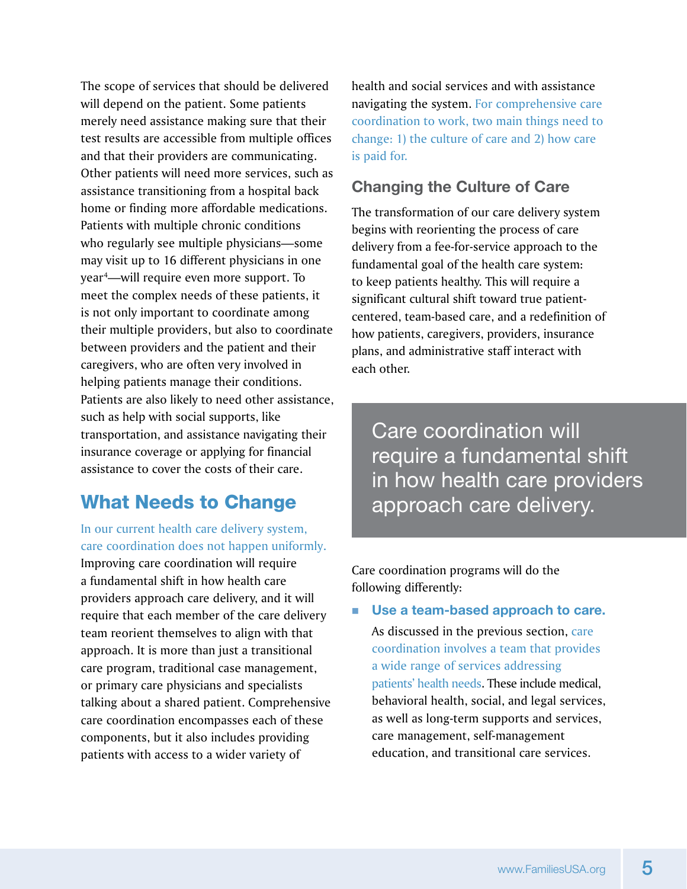The scope of services that should be delivered will depend on the patient. Some patients merely need assistance making sure that their test results are accessible from multiple offices and that their providers are communicating. Other patients will need more services, such as assistance transitioning from a hospital back home or finding more affordable medications. Patients with multiple chronic conditions who regularly see multiple physicians—some may visit up to 16 different physicians in one year4 —will require even more support. To meet the complex needs of these patients, it is not only important to coordinate among their multiple providers, but also to coordinate between providers and the patient and their caregivers, who are often very involved in helping patients manage their conditions. Patients are also likely to need other assistance, such as help with social supports, like transportation, and assistance navigating their insurance coverage or applying for financial assistance to cover the costs of their care.

## What Needs to Change

In our current health care delivery system, care coordination does not happen uniformly**.**  Improving care coordination will require a fundamental shift in how health care providers approach care delivery, and it will require that each member of the care delivery team reorient themselves to align with that approach. It is more than just a transitional care program, traditional case management, or primary care physicians and specialists talking about a shared patient. Comprehensive care coordination encompasses each of these components, but it also includes providing patients with access to a wider variety of

health and social services and with assistance navigating the system. For comprehensive care coordination to work, two main things need to change: 1) the culture of care and 2) how care is paid for.

## Changing the Culture of Care

The transformation of our care delivery system begins with reorienting the process of care delivery from a fee-for-service approach to the fundamental goal of the health care system: to keep patients healthy. This will require a significant cultural shift toward true patientcentered, team-based care, and a redefinition of how patients, caregivers, providers, insurance plans, and administrative staff interact with each other.

Care coordination will require a fundamental shift in how health care providers approach care delivery.

Care coordination programs will do the following differently:

**Use a team-based approach to care.** As discussed in the previous section, care coordination involves a team that provides a wide range of services addressing patients' health needs. These include medical, behavioral health, social, and legal services, as well as long-term supports and services, care management, self-management education, and transitional care services.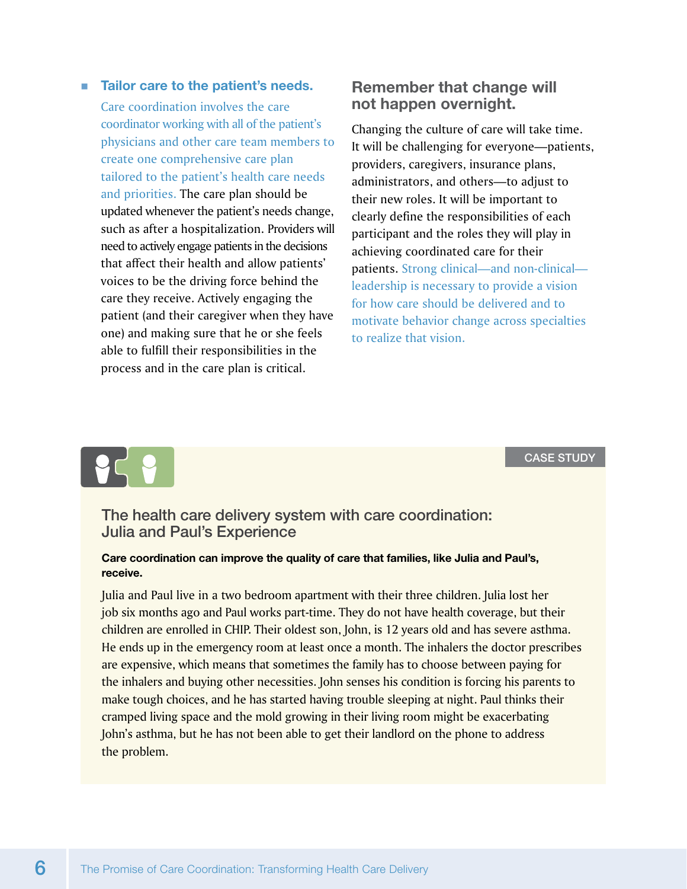#### ■ Tailor care to the patient's needs.

Care coordination involves the care coordinator working with all of the patient's physicians and other care team members to create one comprehensive care plan tailored to the patient's health care needs and priorities. The care plan should be updated whenever the patient's needs change, such as after a hospitalization. Providers will need to actively engage patients in the decisions that affect their health and allow patients' voices to be the driving force behind the care they receive. Actively engaging the patient (and their caregiver when they have one) and making sure that he or she feels able to fulfill their responsibilities in the process and in the care plan is critical.

## Remember that change will not happen overnight.

Changing the culture of care will take time. It will be challenging for everyone—patients, providers, caregivers, insurance plans, administrators, and others—to adjust to their new roles. It will be important to clearly define the responsibilities of each participant and the roles they will play in achieving coordinated care for their patients. Strong clinical—and non-clinical leadership is necessary to provide a vision for how care should be delivered and to motivate behavior change across specialties to realize that vision.

### CASE STUDY

## The health care delivery system with care coordination:

Julia and Paul's Experience

#### Care coordination can improve the quality of care that families, like Julia and Paul's, receive.

Julia and Paul live in a two bedroom apartment with their three children. Julia lost her job six months ago and Paul works part-time. They do not have health coverage, but their children are enrolled in CHIP. Their oldest son, John, is 12 years old and has severe asthma. He ends up in the emergency room at least once a month. The inhalers the doctor prescribes are expensive, which means that sometimes the family has to choose between paying for the inhalers and buying other necessities. John senses his condition is forcing his parents to make tough choices, and he has started having trouble sleeping at night. Paul thinks their cramped living space and the mold growing in their living room might be exacerbating John's asthma, but he has not been able to get their landlord on the phone to address the problem.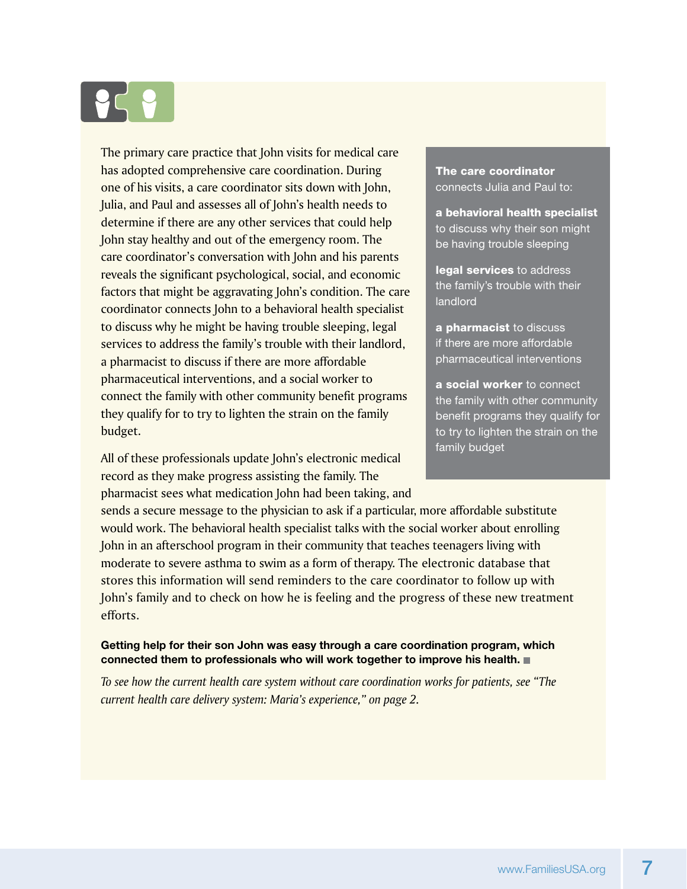# 195 S

The primary care practice that John visits for medical care has adopted comprehensive care coordination. During one of his visits, a care coordinator sits down with John, Julia, and Paul and assesses all of John's health needs to determine if there are any other services that could help John stay healthy and out of the emergency room. The care coordinator's conversation with John and his parents reveals the significant psychological, social, and economic factors that might be aggravating John's condition. The care coordinator connects John to a behavioral health specialist to discuss why he might be having trouble sleeping, legal services to address the family's trouble with their landlord, a pharmacist to discuss if there are more affordable pharmaceutical interventions, and a social worker to connect the family with other community benefit programs they qualify for to try to lighten the strain on the family budget.

All of these professionals update John's electronic medical record as they make progress assisting the family. The pharmacist sees what medication John had been taking, and The care coordinator connects Julia and Paul to:

a behavioral health specialist to discuss why their son might be having trouble sleeping

legal services to address the family's trouble with their landlord

a pharmacist to discuss if there are more affordable pharmaceutical interventions

a social worker to connect the family with other community benefit programs they qualify for to try to lighten the strain on the family budget

sends a secure message to the physician to ask if a particular, more affordable substitute would work. The behavioral health specialist talks with the social worker about enrolling John in an afterschool program in their community that teaches teenagers living with moderate to severe asthma to swim as a form of therapy. The electronic database that stores this information will send reminders to the care coordinator to follow up with John's family and to check on how he is feeling and the progress of these new treatment efforts.

#### Getting help for their son John was easy through a care coordination program, which connected them to professionals who will work together to improve his health.

*To see how the current health care system without care coordination works for patients, see "The current health care delivery system: Maria's experience," on page 2.*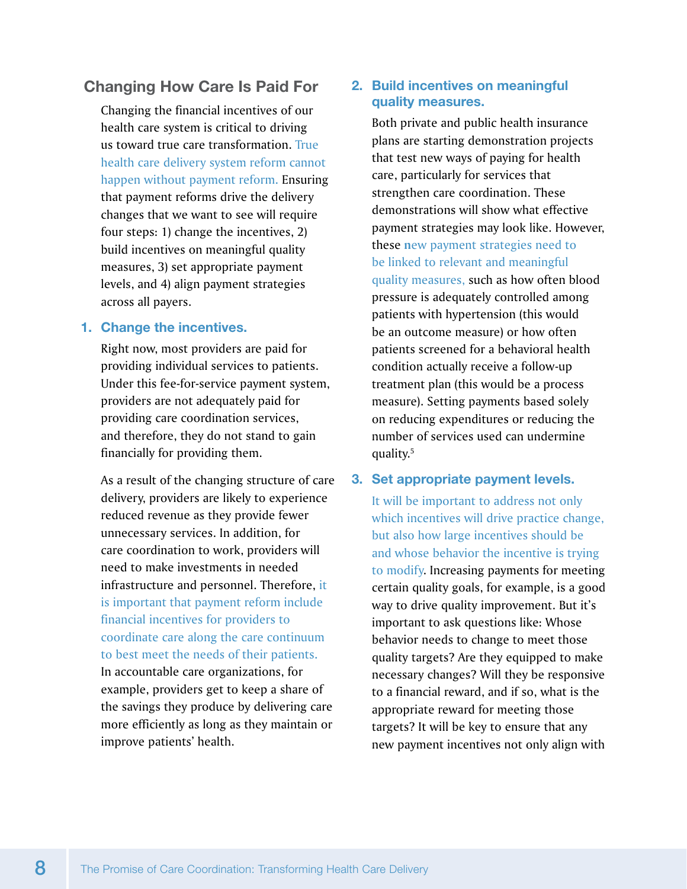## Changing How Care Is Paid For

Changing the financial incentives of our health care system is critical to driving us toward true care transformation. True health care delivery system reform cannot happen without payment reform**.** Ensuring that payment reforms drive the delivery changes that we want to see will require four steps: 1) change the incentives, 2) build incentives on meaningful quality measures, 3) set appropriate payment levels, and 4) align payment strategies across all payers.

## 1. Change the incentives.

Right now, most providers are paid for providing individual services to patients. Under this fee-for-service payment system, providers are not adequately paid for providing care coordination services, and therefore, they do not stand to gain financially for providing them.

As a result of the changing structure of care delivery, providers are likely to experience reduced revenue as they provide fewer unnecessary services. In addition, for care coordination to work, providers will need to make investments in needed infrastructure and personnel. Therefore, it is important that payment reform include financial incentives for providers to coordinate care along the care continuum to best meet the needs of their patients**.**  In accountable care organizations, for example, providers get to keep a share of the savings they produce by delivering care more efficiently as long as they maintain or improve patients' health.

## 2. Build incentives on meaningful quality measures.

Both private and public health insurance plans are starting demonstration projects that test new ways of paying for health care, particularly for services that strengthen care coordination. These demonstrations will show what effective payment strategies may look like. However, these **n**ew payment strategies need to be linked to relevant and meaningful quality measures, such as how often blood pressure is adequately controlled among patients with hypertension (this would be an outcome measure) or how often patients screened for a behavioral health condition actually receive a follow-up treatment plan (this would be a process measure). Setting payments based solely on reducing expenditures or reducing the number of services used can undermine quality.5

## 3. Set appropriate payment levels.

It will be important to address not only which incentives will drive practice change, but also how large incentives should be and whose behavior the incentive is trying to modify. Increasing payments for meeting certain quality goals, for example, is a good way to drive quality improvement. But it's important to ask questions like: Whose behavior needs to change to meet those quality targets? Are they equipped to make necessary changes? Will they be responsive to a financial reward, and if so, what is the appropriate reward for meeting those targets? It will be key to ensure that any new payment incentives not only align with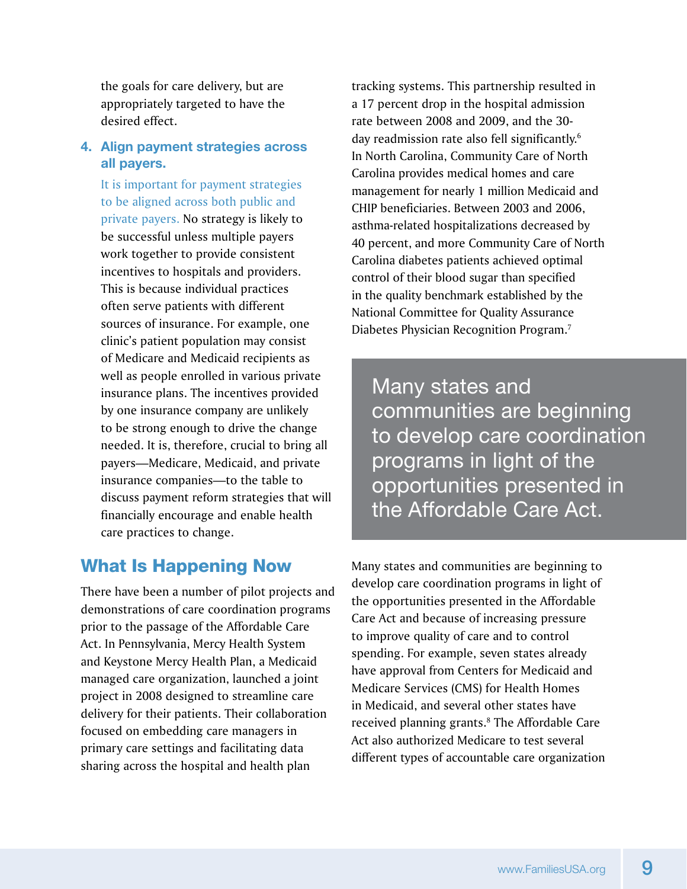the goals for care delivery, but are appropriately targeted to have the desired effect.

## 4. Align payment strategies across all payers.

It is important for payment strategies to be aligned across both public and private payers. No strategy is likely to be successful unless multiple payers work together to provide consistent incentives to hospitals and providers. This is because individual practices often serve patients with different sources of insurance. For example, one clinic's patient population may consist of Medicare and Medicaid recipients as well as people enrolled in various private insurance plans. The incentives provided by one insurance company are unlikely to be strong enough to drive the change needed. It is, therefore, crucial to bring all payers—Medicare, Medicaid, and private insurance companies—to the table to discuss payment reform strategies that will financially encourage and enable health care practices to change.

## What Is Happening Now

There have been a number of pilot projects and demonstrations of care coordination programs prior to the passage of the Affordable Care Act. In Pennsylvania, Mercy Health System and Keystone Mercy Health Plan, a Medicaid managed care organization, launched a joint project in 2008 designed to streamline care delivery for their patients. Their collaboration focused on embedding care managers in primary care settings and facilitating data sharing across the hospital and health plan

tracking systems. This partnership resulted in a 17 percent drop in the hospital admission rate between 2008 and 2009, and the 30 day readmission rate also fell significantly.6 In North Carolina, Community Care of North Carolina provides medical homes and care management for nearly 1 million Medicaid and CHIP beneficiaries. Between 2003 and 2006, asthma-related hospitalizations decreased by 40 percent, and more Community Care of North Carolina diabetes patients achieved optimal control of their blood sugar than specified in the quality benchmark established by the National Committee for Quality Assurance Diabetes Physician Recognition Program.7

Many states and communities are beginning to develop care coordination programs in light of the opportunities presented in the Affordable Care Act.

Many states and communities are beginning to develop care coordination programs in light of the opportunities presented in the Affordable Care Act and because of increasing pressure to improve quality of care and to control spending. For example, seven states already have approval from Centers for Medicaid and Medicare Services (CMS) for Health Homes in Medicaid, and several other states have received planning grants.<sup>8</sup> The Affordable Care Act also authorized Medicare to test several different types of accountable care organization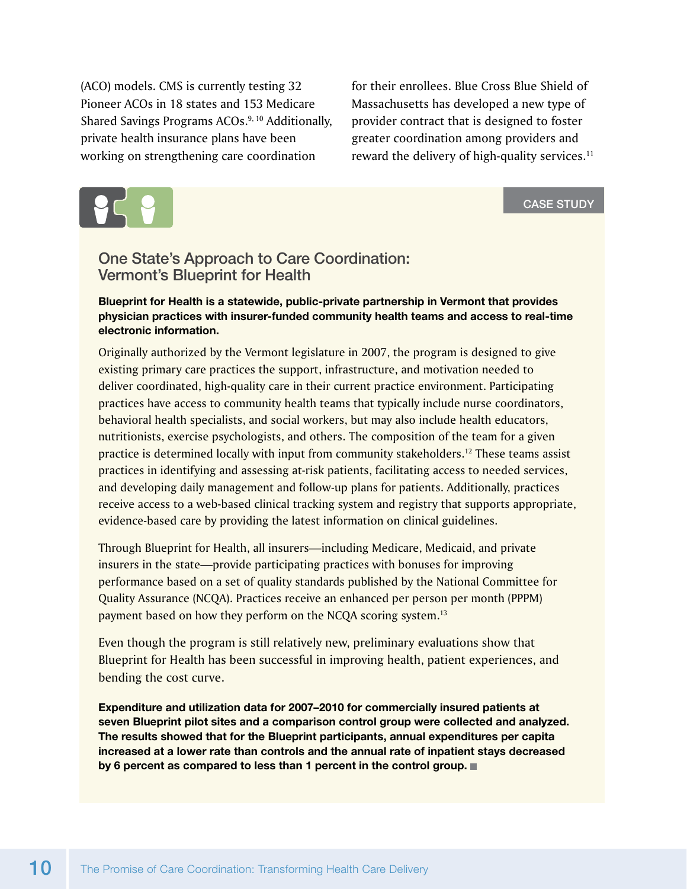(ACO) models. CMS is currently testing 32 Pioneer ACOs in 18 states and 153 Medicare Shared Savings Programs ACOs.<sup>9, 10</sup> Additionally, private health insurance plans have been working on strengthening care coordination

for their enrollees. Blue Cross Blue Shield of Massachusetts has developed a new type of provider contract that is designed to foster greater coordination among providers and reward the delivery of high-quality services. $11$ 

#### CASE STUDY



## One State's Approach to Care Coordination: Vermont's Blueprint for Health

#### Blueprint for Health is a statewide, public-private partnership in Vermont that provides physician practices with insurer-funded community health teams and access to real-time electronic information.

Originally authorized by the Vermont legislature in 2007, the program is designed to give existing primary care practices the support, infrastructure, and motivation needed to deliver coordinated, high-quality care in their current practice environment. Participating practices have access to community health teams that typically include nurse coordinators, behavioral health specialists, and social workers, but may also include health educators, nutritionists, exercise psychologists, and others. The composition of the team for a given practice is determined locally with input from community stakeholders.12 These teams assist practices in identifying and assessing at-risk patients, facilitating access to needed services, and developing daily management and follow-up plans for patients. Additionally, practices receive access to a web-based clinical tracking system and registry that supports appropriate, evidence-based care by providing the latest information on clinical guidelines.

Through Blueprint for Health, all insurers—including Medicare, Medicaid, and private insurers in the state—provide participating practices with bonuses for improving performance based on a set of quality standards published by the National Committee for Quality Assurance (NCQA). Practices receive an enhanced per person per month (PPPM) payment based on how they perform on the NCQA scoring system.13

Even though the program is still relatively new, preliminary evaluations show that Blueprint for Health has been successful in improving health, patient experiences, and bending the cost curve.

Expenditure and utilization data for 2007–2010 for commercially insured patients at seven Blueprint pilot sites and a comparison control group were collected and analyzed. The results showed that for the Blueprint participants, annual expenditures per capita increased at a lower rate than controls and the annual rate of inpatient stays decreased by 6 percent as compared to less than 1 percent in the control group.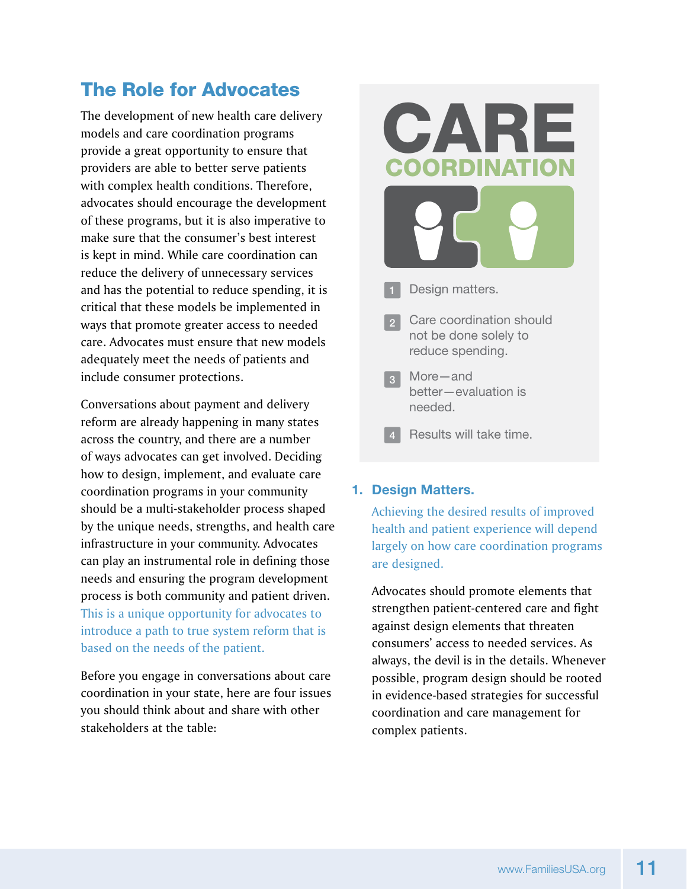## The Role for Advocates

The development of new health care delivery models and care coordination programs provide a great opportunity to ensure that providers are able to better serve patients with complex health conditions. Therefore, advocates should encourage the development of these programs, but it is also imperative to make sure that the consumer's best interest is kept in mind. While care coordination can reduce the delivery of unnecessary services and has the potential to reduce spending, it is critical that these models be implemented in ways that promote greater access to needed care. Advocates must ensure that new models adequately meet the needs of patients and include consumer protections.

Conversations about payment and delivery reform are already happening in many states across the country, and there are a number of ways advocates can get involved. Deciding how to design, implement, and evaluate care coordination programs in your community should be a multi-stakeholder process shaped by the unique needs, strengths, and health care infrastructure in your community. Advocates can play an instrumental role in defining those needs and ensuring the program development process is both community and patient driven. This is a unique opportunity for advocates to introduce a path to true system reform that is based on the needs of the patient**.**

Before you engage in conversations about care coordination in your state, here are four issues you should think about and share with other stakeholders at the table:

CARE **COORDINATION** 

- Design matters.
- 2 Care coordination should not be done solely to reduce spending.
- 3 More-and better—evaluation is needed.
- **4** Results will take time.

#### 1. Design Matters.

Achieving the desired results of improved health and patient experience will depend largely on how care coordination programs are designed.

Advocates should promote elements that strengthen patient-centered care and fight against design elements that threaten consumers' access to needed services. As always, the devil is in the details. Whenever possible, program design should be rooted in evidence-based strategies for successful coordination and care management for complex patients.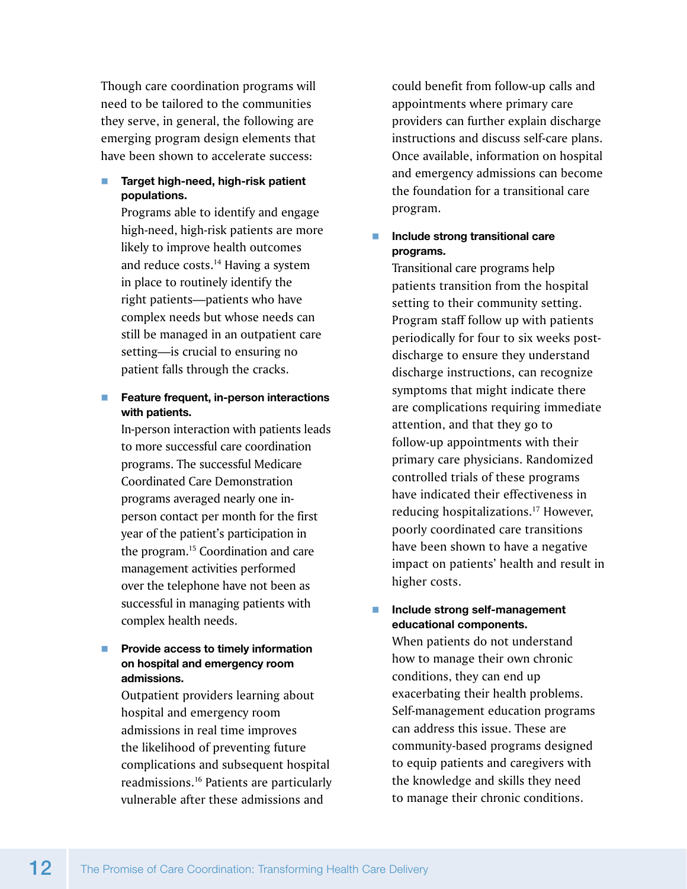Though care coordination programs will need to be tailored to the communities they serve, in general, the following are emerging program design elements that have been shown to accelerate success:

### Target high-need, high-risk patient populations.

Programs able to identify and engage high-need, high-risk patients are more likely to improve health outcomes and reduce costs.<sup>14</sup> Having a system in place to routinely identify the right patients—patients who have complex needs but whose needs can still be managed in an outpatient care setting—is crucial to ensuring no patient falls through the cracks.

### **Feature frequent, in-person interactions** with patients.

In-person interaction with patients leads to more successful care coordination programs. The successful Medicare Coordinated Care Demonstration programs averaged nearly one inperson contact per month for the first year of the patient's participation in the program.15 Coordination and care management activities performed over the telephone have not been as successful in managing patients with complex health needs.

### Provide access to timely information on hospital and emergency room admissions.

Outpatient providers learning about hospital and emergency room admissions in real time improves the likelihood of preventing future complications and subsequent hospital readmissions.16 Patients are particularly vulnerable after these admissions and

could benefit from follow-up calls and appointments where primary care providers can further explain discharge instructions and discuss self-care plans. Once available, information on hospital and emergency admissions can become the foundation for a transitional care program.

## Include strong transitional care programs.

Transitional care programs help patients transition from the hospital setting to their community setting. Program staff follow up with patients periodically for four to six weeks postdischarge to ensure they understand discharge instructions, can recognize symptoms that might indicate there are complications requiring immediate attention, and that they go to follow-up appointments with their primary care physicians. Randomized controlled trials of these programs have indicated their effectiveness in reducing hospitalizations.17 However, poorly coordinated care transitions have been shown to have a negative impact on patients' health and result in higher costs.

## Include strong self-management educational components.

When patients do not understand how to manage their own chronic conditions, they can end up exacerbating their health problems. Self-management education programs can address this issue. These are community-based programs designed to equip patients and caregivers with the knowledge and skills they need to manage their chronic conditions.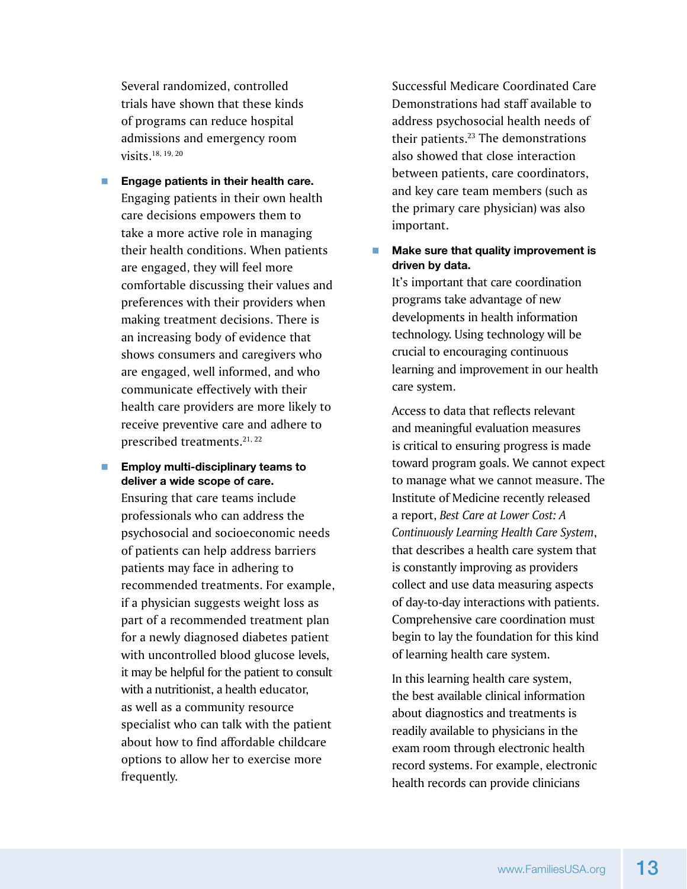Several randomized, controlled trials have shown that these kinds of programs can reduce hospital admissions and emergency room visits.18, 19, 20

- **Engage patients in their health care.** Engaging patients in their own health care decisions empowers them to take a more active role in managing their health conditions. When patients are engaged, they will feel more comfortable discussing their values and preferences with their providers when making treatment decisions. There is an increasing body of evidence that shows consumers and caregivers who are engaged, well informed, and who communicate effectively with their health care providers are more likely to receive preventive care and adhere to prescribed treatments.21, 22
- Employ multi-disciplinary teams to deliver a wide scope of care.

Ensuring that care teams include professionals who can address the psychosocial and socioeconomic needs of patients can help address barriers patients may face in adhering to recommended treatments. For example, if a physician suggests weight loss as part of a recommended treatment plan for a newly diagnosed diabetes patient with uncontrolled blood glucose levels, it may be helpful for the patient to consult with a nutritionist, a health educator, as well as a community resource specialist who can talk with the patient about how to find affordable childcare options to allow her to exercise more frequently.

Successful Medicare Coordinated Care Demonstrations had staff available to address psychosocial health needs of their patients. $23$  The demonstrations also showed that close interaction between patients, care coordinators, and key care team members (such as the primary care physician) was also important.

#### Make sure that quality improvement is driven by data.

It's important that care coordination programs take advantage of new developments in health information technology. Using technology will be crucial to encouraging continuous learning and improvement in our health care system.

Access to data that reflects relevant and meaningful evaluation measures is critical to ensuring progress is made toward program goals. We cannot expect to manage what we cannot measure. The Institute of Medicine recently released a report, *Best Care at Lower Cost: A Continuously Learning Health Care System*, that describes a health care system that is constantly improving as providers collect and use data measuring aspects of day-to-day interactions with patients. Comprehensive care coordination must begin to lay the foundation for this kind of learning health care system.

In this learning health care system, the best available clinical information about diagnostics and treatments is readily available to physicians in the exam room through electronic health record systems. For example, electronic health records can provide clinicians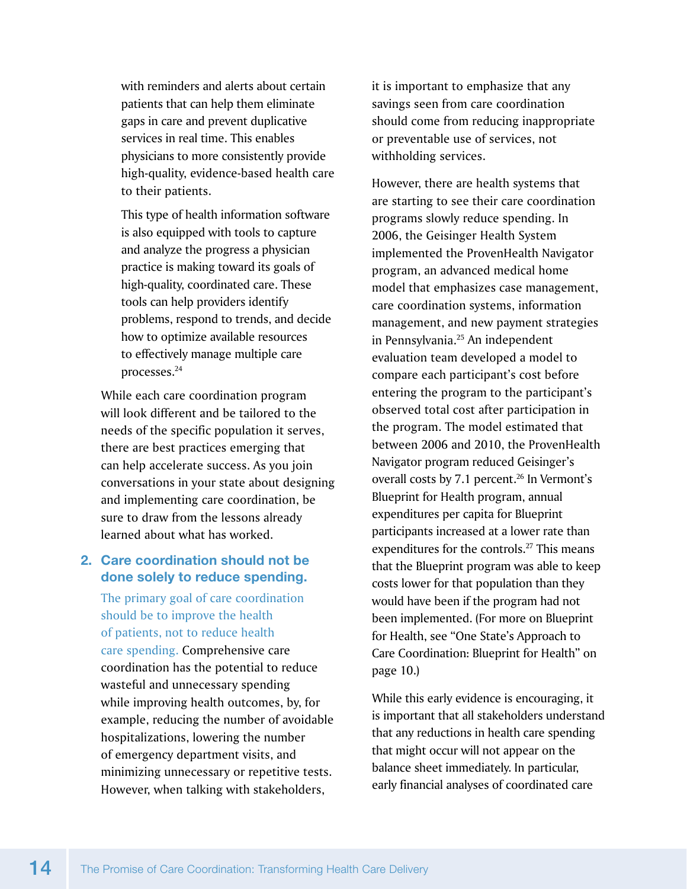with reminders and alerts about certain patients that can help them eliminate gaps in care and prevent duplicative services in real time. This enables physicians to more consistently provide high-quality, evidence-based health care to their patients.

This type of health information software is also equipped with tools to capture and analyze the progress a physician practice is making toward its goals of high-quality, coordinated care. These tools can help providers identify problems, respond to trends, and decide how to optimize available resources to effectively manage multiple care processes.24

While each care coordination program will look different and be tailored to the needs of the specific population it serves, there are best practices emerging that can help accelerate success. As you join conversations in your state about designing and implementing care coordination, be sure to draw from the lessons already learned about what has worked.

## 2. Care coordination should not be done solely to reduce spending.

The primary goal of care coordination should be to improve the health of patients, not to reduce health care spending. Comprehensive care coordination has the potential to reduce wasteful and unnecessary spending while improving health outcomes, by, for example, reducing the number of avoidable hospitalizations, lowering the number of emergency department visits, and minimizing unnecessary or repetitive tests. However, when talking with stakeholders,

it is important to emphasize that any savings seen from care coordination should come from reducing inappropriate or preventable use of services, not withholding services.

However, there are health systems that are starting to see their care coordination programs slowly reduce spending. In 2006, the Geisinger Health System implemented the ProvenHealth Navigator program, an advanced medical home model that emphasizes case management, care coordination systems, information management, and new payment strategies in Pennsylvania.25 An independent evaluation team developed a model to compare each participant's cost before entering the program to the participant's observed total cost after participation in the program. The model estimated that between 2006 and 2010, the ProvenHealth Navigator program reduced Geisinger's overall costs by 7.1 percent.<sup>26</sup> In Vermont's Blueprint for Health program, annual expenditures per capita for Blueprint participants increased at a lower rate than expenditures for the controls.<sup>27</sup> This means that the Blueprint program was able to keep costs lower for that population than they would have been if the program had not been implemented. (For more on Blueprint for Health, see "One State's Approach to Care Coordination: Blueprint for Health" on page 10.)

While this early evidence is encouraging, it is important that all stakeholders understand that any reductions in health care spending that might occur will not appear on the balance sheet immediately. In particular, early financial analyses of coordinated care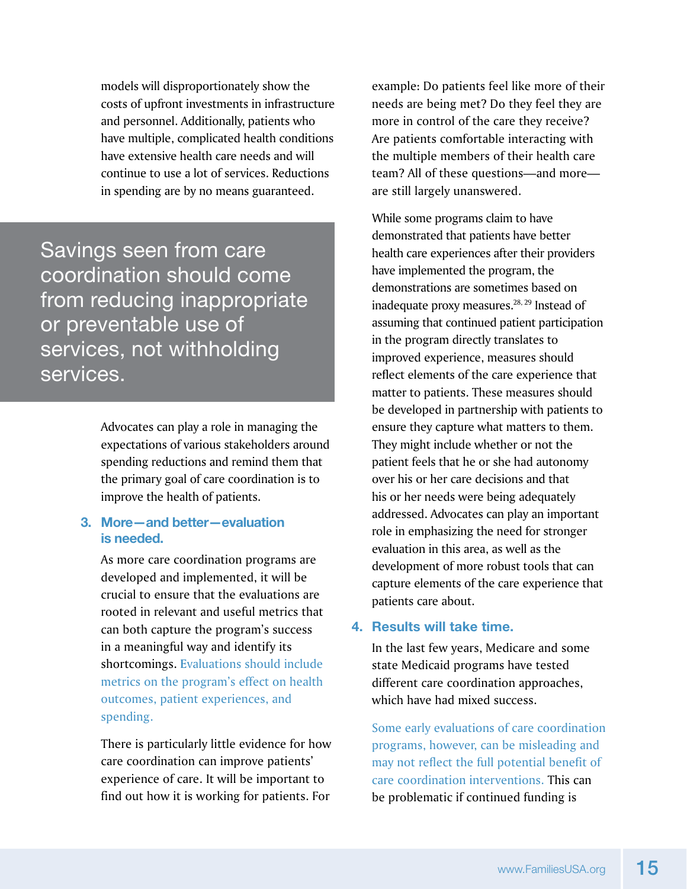models will disproportionately show the costs of upfront investments in infrastructure and personnel. Additionally, patients who have multiple, complicated health conditions have extensive health care needs and will continue to use a lot of services. Reductions in spending are by no means guaranteed.

Savings seen from care coordination should come from reducing inappropriate or preventable use of services, not withholding services.

> Advocates can play a role in managing the expectations of various stakeholders around spending reductions and remind them that the primary goal of care coordination is to improve the health of patients.

### 3. More—and better—evaluation is needed.

As more care coordination programs are developed and implemented, it will be crucial to ensure that the evaluations are rooted in relevant and useful metrics that can both capture the program's success in a meaningful way and identify its shortcomings. **E**valuations should include metrics on the program's effect on health outcomes, patient experiences, and spending.

There is particularly little evidence for how care coordination can improve patients' experience of care. It will be important to find out how it is working for patients. For

example: Do patients feel like more of their needs are being met? Do they feel they are more in control of the care they receive? Are patients comfortable interacting with the multiple members of their health care team? All of these questions—and more are still largely unanswered.

While some programs claim to have demonstrated that patients have better health care experiences after their providers have implemented the program, the demonstrations are sometimes based on inadequate proxy measures.<sup>28, 29</sup> Instead of assuming that continued patient participation in the program directly translates to improved experience, measures should reflect elements of the care experience that matter to patients. These measures should be developed in partnership with patients to ensure they capture what matters to them. They might include whether or not the patient feels that he or she had autonomy over his or her care decisions and that his or her needs were being adequately addressed. Advocates can play an important role in emphasizing the need for stronger evaluation in this area, as well as the development of more robust tools that can capture elements of the care experience that patients care about.

## 4. Results will take time.

In the last few years, Medicare and some state Medicaid programs have tested different care coordination approaches, which have had mixed success.

Some early evaluations of care coordination programs, however, can be misleading and may not reflect the full potential benefit of care coordination interventions. This can be problematic if continued funding is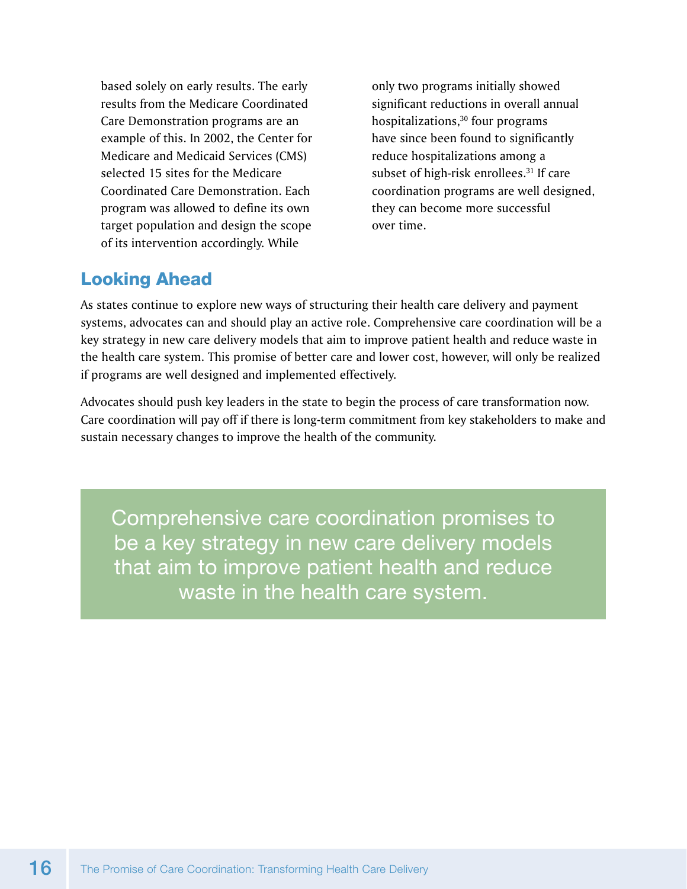based solely on early results. The early results from the Medicare Coordinated Care Demonstration programs are an example of this. In 2002, the Center for Medicare and Medicaid Services (CMS) selected 15 sites for the Medicare Coordinated Care Demonstration. Each program was allowed to define its own target population and design the scope of its intervention accordingly. While

only two programs initially showed significant reductions in overall annual hospitalizations,<sup>30</sup> four programs have since been found to significantly reduce hospitalizations among a subset of high-risk enrollees.<sup>31</sup> If care coordination programs are well designed, they can become more successful over time.

## Looking Ahead

As states continue to explore new ways of structuring their health care delivery and payment systems, advocates can and should play an active role. Comprehensive care coordination will be a key strategy in new care delivery models that aim to improve patient health and reduce waste in the health care system. This promise of better care and lower cost, however, will only be realized if programs are well designed and implemented effectively.

Advocates should push key leaders in the state to begin the process of care transformation now. Care coordination will pay off if there is long-term commitment from key stakeholders to make and sustain necessary changes to improve the health of the community.

Comprehensive care coordination promises to be a key strategy in new care delivery models that aim to improve patient health and reduce waste in the health care system.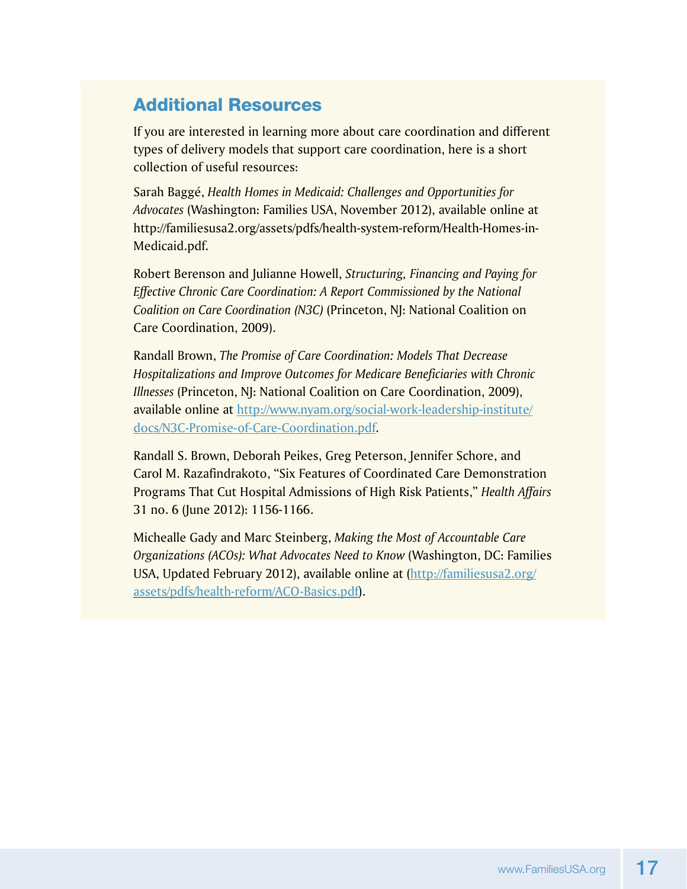## Additional Resources

If you are interested in learning more about care coordination and different types of delivery models that support care coordination, here is a short collection of useful resources:

Sarah Baggé, *Health Homes in Medicaid: Challenges and Opportunities for Advocates* (Washington: Families USA, November 2012), available online at http://familiesusa2.org/assets/pdfs/health-system-reform/Health-Homes-in-Medicaid.pdf.

Robert Berenson and Julianne Howell, *Structuring, Financing and Paying for Effective Chronic Care Coordination: A Report Commissioned by the National Coalition on Care Coordination (N3C)* (Princeton, NJ: National Coalition on Care Coordination, 2009).

Randall Brown, *The Promise of Care Coordination: Models That Decrease Hospitalizations and Improve Outcomes for Medicare Beneficiaries with Chronic Illnesses* (Princeton, NJ: National Coalition on Care Coordination, 2009), available online at [http://www.nyam.org/social-work-leadership-institute/](http://www.nyam.org/social-work-leadership-institute/docs/N3C-Promise-of-Care-Coordination.pdf) [docs/N3C-Promise-of-Care-Coordination.pdf.](http://www.nyam.org/social-work-leadership-institute/docs/N3C-Promise-of-Care-Coordination.pdf)

Randall S. Brown, Deborah Peikes, Greg Peterson, Jennifer Schore, and Carol M. Razafindrakoto, "Six Features of Coordinated Care Demonstration Programs That Cut Hospital Admissions of High Risk Patients," *Health Affairs*  31 no. 6 (June 2012): 1156-1166.

Michealle Gady and Marc Steinberg, *Making the Most of Accountable Care Organizations (ACOs): What Advocates Need to Know* (Washington, DC: Families USA, Updated February 2012), available online at ([http://familiesusa2.org/](http://familiesusa2.org/assets/pdfs/health-reform/ACO-Basics.pdf) [assets/pdfs/health-reform/ACO-Basics.pdf\)](http://familiesusa2.org/assets/pdfs/health-reform/ACO-Basics.pdf).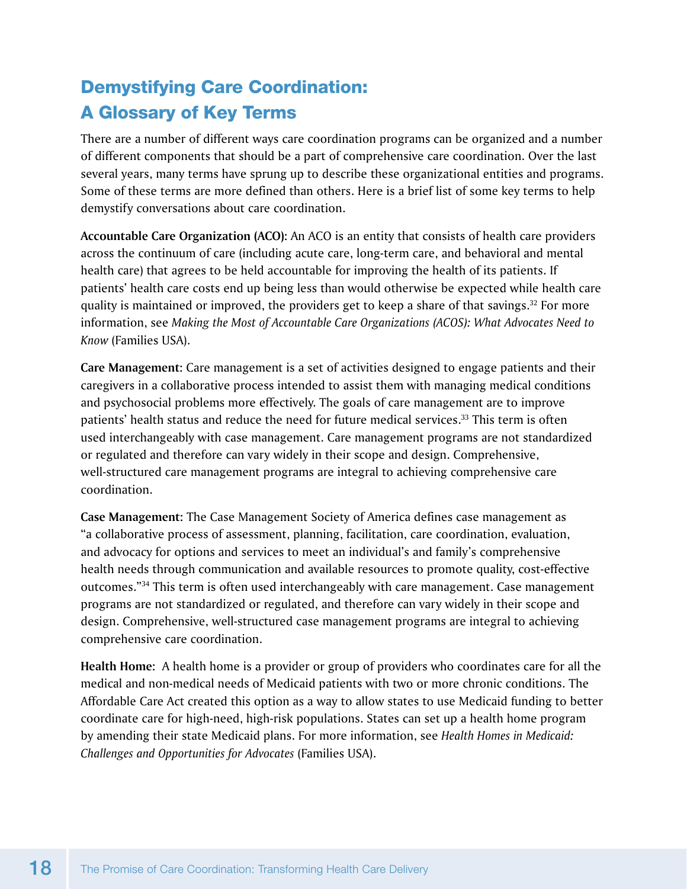## Demystifying Care Coordination: A Glossary of Key Terms

There are a number of different ways care coordination programs can be organized and a number of different components that should be a part of comprehensive care coordination. Over the last several years, many terms have sprung up to describe these organizational entities and programs. Some of these terms are more defined than others. Here is a brief list of some key terms to help demystify conversations about care coordination.

**Accountable Care Organization (ACO):** An ACO is an entity that consists of health care providers across the continuum of care (including acute care, long-term care, and behavioral and mental health care) that agrees to be held accountable for improving the health of its patients. If patients' health care costs end up being less than would otherwise be expected while health care quality is maintained or improved, the providers get to keep a share of that savings.<sup>32</sup> For more information, see *Making the Most of Accountable Care Organizations (ACOS): What Advocates Need to Know* (Families USA).

**Care Management:** Care management is a set of activities designed to engage patients and their caregivers in a collaborative process intended to assist them with managing medical conditions and psychosocial problems more effectively. The goals of care management are to improve patients' health status and reduce the need for future medical services.<sup>33</sup> This term is often used interchangeably with case management. Care management programs are not standardized or regulated and therefore can vary widely in their scope and design. Comprehensive, well-structured care management programs are integral to achieving comprehensive care coordination.

**Case Management:** The Case Management Society of America defines case management as "a collaborative process of assessment, planning, facilitation, care coordination, evaluation, and advocacy for options and services to meet an individual's and family's comprehensive health needs through communication and available resources to promote quality, cost-effective outcomes."34 This term is often used interchangeably with care management. Case management programs are not standardized or regulated, and therefore can vary widely in their scope and design. Comprehensive, well-structured case management programs are integral to achieving comprehensive care coordination.

**Health Home:** A health home is a provider or group of providers who coordinates care for all the medical and non-medical needs of Medicaid patients with two or more chronic conditions. The Affordable Care Act created this option as a way to allow states to use Medicaid funding to better coordinate care for high-need, high-risk populations. States can set up a health home program by amending their state Medicaid plans. For more information, see *Health Homes in Medicaid: Challenges and Opportunities for Advocates* (Families USA).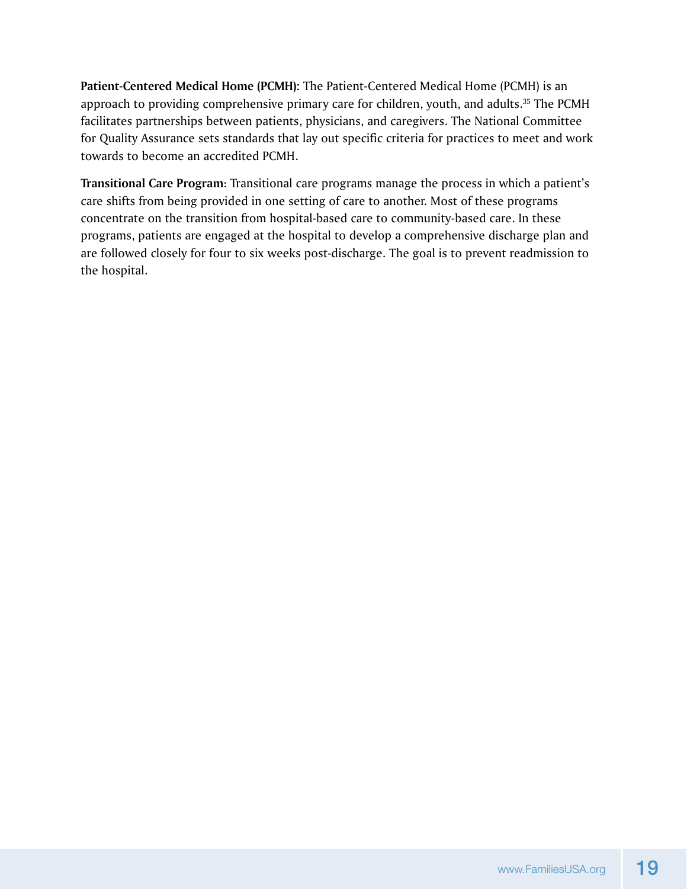**Patient-Centered Medical Home (PCMH):** The Patient-Centered Medical Home (PCMH) is an approach to providing comprehensive primary care for children, youth, and adults.<sup>35</sup> The PCMH facilitates partnerships between patients, physicians, and caregivers. The National Committee for Quality Assurance sets standards that lay out specific criteria for practices to meet and work towards to become an accredited PCMH.

**Transitional Care Program**: Transitional care programs manage the process in which a patient's care shifts from being provided in one setting of care to another. Most of these programs concentrate on the transition from hospital-based care to community-based care. In these programs, patients are engaged at the hospital to develop a comprehensive discharge plan and are followed closely for four to six weeks post-discharge. The goal is to prevent readmission to the hospital.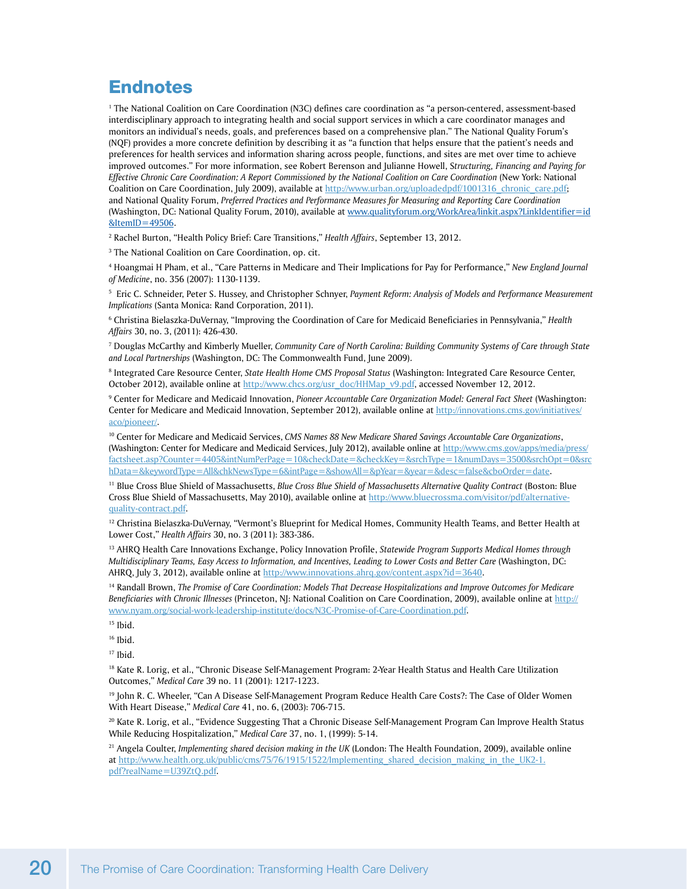## **Endnotes**

1 The National Coalition on Care Coordination (N3C) defines care coordination as "a person-centered, assessment-based interdisciplinary approach to integrating health and social support services in which a care coordinator manages and monitors an individual's needs, goals, and preferences based on a comprehensive plan." The National Quality Forum's (NQF) provides a more concrete definition by describing it as "a function that helps ensure that the patient's needs and preferences for health services and information sharing across people, functions, and sites are met over time to achieve improved outcomes." For more information, see Robert Berenson and Julianne Howell, S*tructuring, Financing and Paying for Effective Chronic Care Coordination: A Report Commissioned by the National Coalition on Care Coordination* (New York: National Coalition on Care Coordination, July 2009), available at [http://www.urban.org/uploadedpdf/1001316\\_chronic\\_care.pdf](http://www.urban.org/uploadedpdf/1001316_chronic_care.pdf); and National Quality Forum, *Preferred Practices and Performance Measures for Measuring and Reporting Care Coordination* (Washington, DC: National Quality Forum, 2010), available at [www.qualityforum.org/WorkArea/linkit.aspx?LinkIdentifier=id](www.qualityforum.org/WorkArea/linkit.aspx?LinkIdentifier=id&ItemID=49506) [&ItemID=49506.](www.qualityforum.org/WorkArea/linkit.aspx?LinkIdentifier=id&ItemID=49506)

2 Rachel Burton, "Health Policy Brief: Care Transitions," *Health Affairs*, September 13, 2012.

<sup>3</sup> The National Coalition on Care Coordination, op. cit.

4 Hoangmai H Pham, et al., "Care Patterns in Medicare and Their Implications for Pay for Performance," *New England Journal of Medicine*, no. 356 (2007): 1130-1139.

5 Eric C. Schneider, Peter S. Hussey, and Christopher Schnyer, *Payment Reform: Analysis of Models and Performance Measurement Implications* (Santa Monica: Rand Corporation, 2011).

6 Christina Bielaszka-DuVernay, "Improving the Coordination of Care for Medicaid Beneficiaries in Pennsylvania," *Health Affairs* 30, no. 3, (2011): 426-430.

7 Douglas McCarthy and Kimberly Mueller, *Community Care of North Carolina: Building Community Systems of Care through State and Local Partnerships* (Washington, DC: The Commonwealth Fund, June 2009).

8 Integrated Care Resource Center, *State Health Home CMS Proposal Status* (Washington: Integrated Care Resource Center, October 2012), available online at [http://www.chcs.org/usr\\_doc/HHMap\\_v9.pdf](http://www.chcs.org/usr_doc/HHMap_v9.pdf), accessed November 12, 2012.

9 Center for Medicare and Medicaid Innovation, *Pioneer Accountable Care Organization Model: General Fact Sheet* (Washington: Center for Medicare and Medicaid Innovation, September 2012), available online at [http://innovations.cms.gov/initiatives/](http://innovations.cms.gov/initiatives/aco/pioneer/) [aco/pioneer/.](http://innovations.cms.gov/initiatives/aco/pioneer/)

10 Center for Medicare and Medicaid Services, *CMS Names 88 New Medicare Shared Savings Accountable Care Organizations*, (Washington: Center for Medicare and Medicaid Services, July 2012), available online at [http://www.cms.gov/apps/media/press/](http://www.cms.gov/apps/media/press/factsheet.asp?Counter=4405&intNumPerPage=10&checkDate=&checkKey=&srchType=1&numDays=3500&srchOpt=0&srchData=&keywordType=All&chkNewsType=6&intPage=&showAll=&pYear=&year=&desc=false&cboOrder=date) [factsheet.asp?Counter=4405&intNumPerPage=10&checkDate=&checkKey=&srchType=1&numDays=3500&srchOpt=0&src](http://www.cms.gov/apps/media/press/factsheet.asp?Counter=4405&intNumPerPage=10&checkDate=&checkKey=&srchType=1&numDays=3500&srchOpt=0&srchData=&keywordType=All&chkNewsType=6&intPage=&showAll=&pYear=&year=&desc=false&cboOrder=date) [hData=&keywordType=All&chkNewsType=6&intPage=&showAll=&pYear=&year=&desc=false&cboOrder=date.](http://www.cms.gov/apps/media/press/factsheet.asp?Counter=4405&intNumPerPage=10&checkDate=&checkKey=&srchType=1&numDays=3500&srchOpt=0&srchData=&keywordType=All&chkNewsType=6&intPage=&showAll=&pYear=&year=&desc=false&cboOrder=date)

11 Blue Cross Blue Shield of Massachusetts, *Blue Cross Blue Shield of Massachusetts Alternative Quality Contract* (Boston: Blue Cross Blue Shield of Massachusetts, May 2010), available online at [http://www.bluecrossma.com/visitor/pdf/alternative](http://www.bluecrossma.com/visitor/pdf/alternative-quality-contract.pdf)[quality-contract.pdf](http://www.bluecrossma.com/visitor/pdf/alternative-quality-contract.pdf).

<sup>12</sup> Christina Bielaszka-DuVernay, "Vermont's Blueprint for Medical Homes, Community Health Teams, and Better Health at Lower Cost," *Health Affairs* 30, no. 3 (2011): 383-386.

13 AHRQ Health Care Innovations Exchange, Policy Innovation Profile, *Statewide Program Supports Medical Homes through Multidisciplinary Teams, Easy Access to Information, and Incentives, Leading to Lower Costs and Better Care* (Washington, DC: AHRQ, July 3, 2012), available online at [http://www.innovations.ahrq.gov/content.aspx?id=3640.](http://www.innovations.ahrq.gov/content.aspx?id=3640)

14 Randall Brown, *The Promise of Care Coordination: Models That Decrease Hospitalizations and Improve Outcomes for Medicare Beneficiaries with Chronic Illnesses* (Princeton, NJ: National Coalition on Care Coordination, 2009), available online at [http://](http://www.nyam.org/social-work-leadership-institute/docs/N3C-Promise-of-Care-Coordination.pdf) [www.nyam.org/social-work-leadership-institute/docs/N3C-Promise-of-Care-Coordination.pdf.](http://www.nyam.org/social-work-leadership-institute/docs/N3C-Promise-of-Care-Coordination.pdf)

 $15$  Ibid.

16 Ibid.

17 Ibid.

18 Kate R. Lorig, et al., "Chronic Disease Self-Management Program: 2-Year Health Status and Health Care Utilization Outcomes," *Medical Care* 39 no. 11 (2001): 1217-1223.

<sup>19</sup> John R. C. Wheeler, "Can A Disease Self-Management Program Reduce Health Care Costs?: The Case of Older Women With Heart Disease," *Medical Care* 41, no. 6, (2003): 706-715.

<sup>20</sup> Kate R. Lorig, et al., "Evidence Suggesting That a Chronic Disease Self-Management Program Can Improve Health Status While Reducing Hospitalization," *Medical Care* 37, no. 1, (1999): 5-14.

21 Angela Coulter, *Implementing shared decision making in the UK* (London: The Health Foundation, 2009), available online at [http://www.health.org.uk/public/cms/75/76/1915/1522/Implementing\\_shared\\_decision\\_making\\_in\\_the\\_UK2-1.](http://www.health.org.uk/public/cms/75/76/1915/1522/Implementing_shared_decision_making_in_the_UK2-1.pdf?realName=U39ZtQ.pdf) [pdf?realName=U39ZtQ.pdf.](http://www.health.org.uk/public/cms/75/76/1915/1522/Implementing_shared_decision_making_in_the_UK2-1.pdf?realName=U39ZtQ.pdf)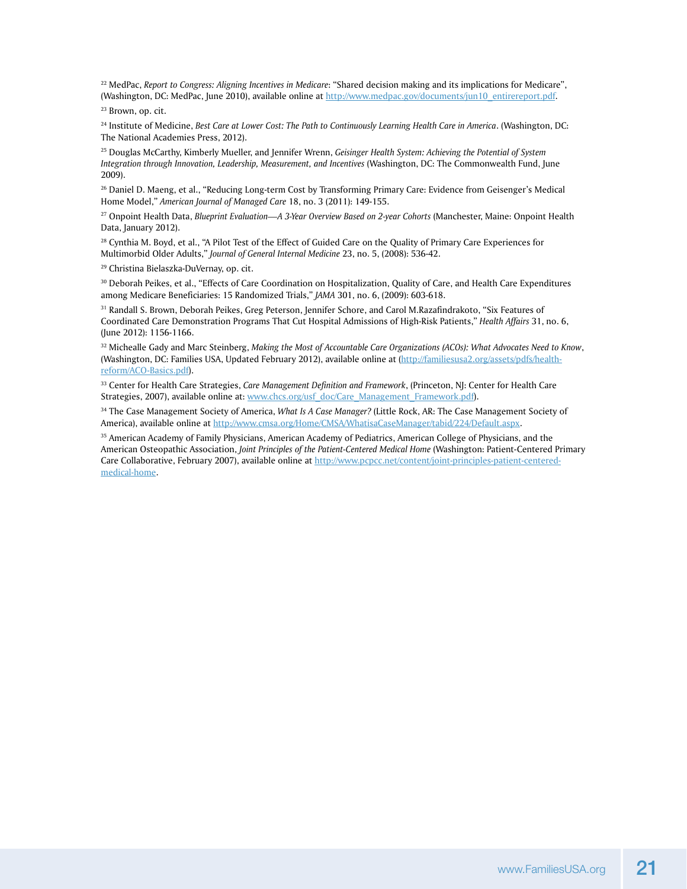<sup>22</sup> MedPac, Report to Congress: Aligning Incentives in Medicare: "Shared decision making and its implications for Medicare", (Washington, DC: MedPac, June 2010), available online at [http://www.medpac.gov/documents/jun10\\_entirereport.pdf.](http://www.medpac.gov/documents/jun10_entirereport.pdf)

<sup>23</sup> Brown, op. cit.

24 Institute of Medicine, *Best Care at Lower Cost: The Path to Continuously Learning Health Care in America*. (Washington, DC: The National Academies Press, 2012).

25 Douglas McCarthy, Kimberly Mueller, and Jennifer Wrenn, *Geisinger Health System: Achieving the Potential of System Integration through Innovation, Leadership, Measurement, and Incentives* (Washington, DC: The Commonwealth Fund, June 2009).

26 Daniel D. Maeng, et al., "Reducing Long-term Cost by Transforming Primary Care: Evidence from Geisenger's Medical Home Model," *American Journal of Managed Care* 18, no. 3 (2011): 149-155.

27 Onpoint Health Data, *Blueprint Evaluation—A 3-Year Overview Based on 2-year Cohorts* (Manchester, Maine: Onpoint Health Data, January 2012).

<sup>28</sup> Cynthia M. Boyd, et al., "A Pilot Test of the Effect of Guided Care on the Quality of Primary Care Experiences for Multimorbid Older Adults," *Journal of General Internal Medicine* 23, no. 5, (2008): 536-42.

29 Christina Bielaszka-DuVernay, op. cit.

<sup>30</sup> Deborah Peikes, et al., "Effects of Care Coordination on Hospitalization, Quality of Care, and Health Care Expenditures among Medicare Beneficiaries: 15 Randomized Trials," *JAMA* 301, no. 6, (2009): 603-618.

<sup>31</sup> Randall S. Brown, Deborah Peikes, Greg Peterson, Jennifer Schore, and Carol M.Razafindrakoto, "Six Features of Coordinated Care Demonstration Programs That Cut Hospital Admissions of High-Risk Patients," *Health Affairs* 31, no. 6, (June 2012): 1156-1166.

32 Michealle Gady and Marc Steinberg, *Making the Most of Accountable Care Organizations (ACOs): What Advocates Need to Know*, (Washington, DC: Families USA, Updated February 2012), available online at ([http://familiesusa2.org/assets/pdfs/health](http://familiesusa2.org/assets/pdfs/health-reform/ACO-Basics.pdf)[reform/ACO-Basics.pdf](http://familiesusa2.org/assets/pdfs/health-reform/ACO-Basics.pdf)).

33 Center for Health Care Strategies, *Care Management Definition and Framework*, (Princeton, NJ: Center for Health Care Strategies, 2007), available online at: [www.chcs.org/usf\\_doc/Care\\_Management\\_Framework.pdf](http://www.chcs.org/usf_doc/Care_Management_Framework.pdf)).

34 The Case Management Society of America, *What Is A Case Manager?* (Little Rock, AR: The Case Management Society of America), available online at<http://www.cmsa.org/Home/CMSA/WhatisaCaseManager/tabid/224/Default.aspx>.

<sup>35</sup> American Academy of Family Physicians, American Academy of Pediatrics, American College of Physicians, and the American Osteopathic Association, *Joint Principles of the Patient-Centered Medical Home* (Washington: Patient-Centered Primary Care Collaborative, February 2007), available online at [http://www.pcpcc.net/content/joint-principles-patient-centered](http://www.pcpcc.net/content/joint-principles-patient-centered-medical-home)[medical-home](http://www.pcpcc.net/content/joint-principles-patient-centered-medical-home).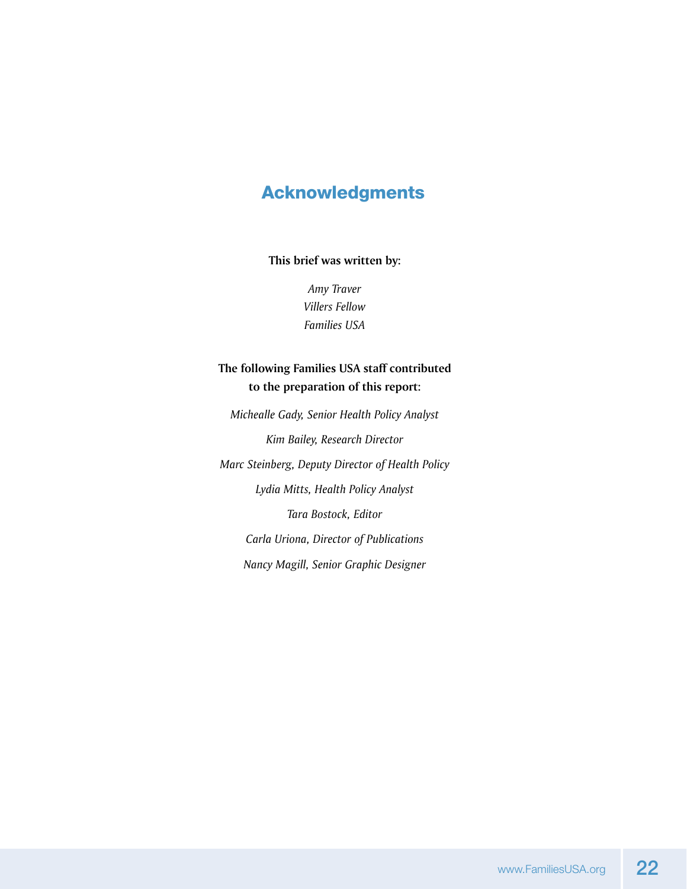## Acknowledgments

**This brief was written by:**

*Amy Traver Villers Fellow Families USA*

## **The following Families USA staff contributed to the preparation of this report:**

*Michealle Gady, Senior Health Policy Analyst Kim Bailey, Research Director Marc Steinberg, Deputy Director of Health Policy Lydia Mitts, Health Policy Analyst Tara Bostock, Editor Carla Uriona, Director of Publications Nancy Magill, Senior Graphic Designer*